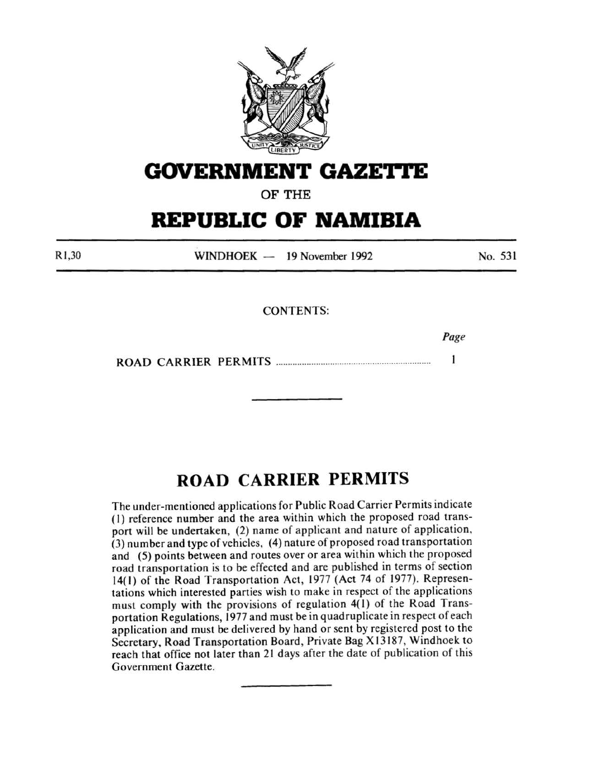

# **GOVERNMENT GAZETTE**

OF THE

# **REPUBLIC OF NAMIBIA**

Rl ,30 WINDHOEK - 19 November 1992 No. 531

CONTENTS:

Page

 $\mathbf{1}$ ROAD CARRIER PERMITS ................................................................. .

# **ROAD CARRIER PERMITS**

The under-mentioned applications for Public Road Carrier Permits indicate ( l) reference number and the area within which the proposed road transport will be undertaken, (2) name of applicant and nature of application, (3) number and type of vehicles, (4) nature of proposed road transportation and (5) points between and routes over or area within which the proposed road transportation is to be effected and are published in terms of section 14( l) of the Road Transportation Act, 1977 (Act 74 of 1977). Representations which interested parties wish to make in respect of the applications must comply with the provisions of regulation 4(1) of the Road Transportation Regulations, 1977 and must be in quadruplicate in respect of each application and must be delivered by hand or sent by registered post to the Secretary, Road Transportation Board, Private Bag X13187, Windhoek to reach that office not later than 21 days after the date of publication of this Government Gazette.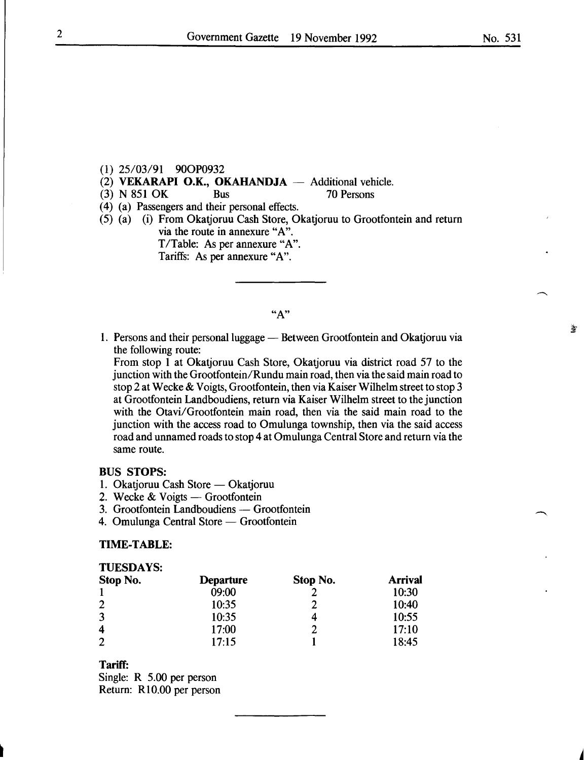- (1) 25/03/91 900P0932
- (2) **VEKARAPI O.K., OKAHANDJA**  $-$  Additional vehicle.<br>(3) N 851 OK Bus 70 Persons
- (3) N 851 OK Bus
- ( 4) (a) Passengers and their personal effects.
- (5) (a) (i) From Okatjoruu Cash Store, Okatjoruu to Grootfontein and return via the route in annexure "A". T/Table: As per annexure "A". Tariffs: As per annexure "A".

 $"A"$ 

1. Persons and their personal luggage — Between Grootfontein and Okatjoruu via the following route:

From stop 1 at Okatjoruu Cash Store, Okatjoruu via district road 57 to the junction with the Grootfontein/Rundu main road, then via the said main road to stop 2 at Wecke & Voigts, Grootfontein, then via Kaiser Wilhelm street to stop 3 at Grootfontein Landboudiens, return via Kaiser Wilhelm street to the junction with the Otavi/Grootfontein main road, then via the said main road to the junction with the access road to Omulunga township, then via the said access road and unnamed roads to stop 4 at Omulunga Central Store and return via the same route.

### BUS STOPS:

- 1. Okatjoruu Cash Store Okatjoruu
- 2. Wecke  $& \text{Voigts} \text{---}$  Grootfontein
- 3. Grootfontein Landboudiens Grootfontein
- 4. Omulunga Central Store Grootfontein

#### TIME-TABLE:

| <b>TUESDAYS:</b> |                  |          |                |  |
|------------------|------------------|----------|----------------|--|
| Stop No.         | <b>Departure</b> | Stop No. | <b>Arrival</b> |  |
|                  | 09:00            |          | 10:30          |  |
| $\overline{2}$   | 10:35            |          | 10:40          |  |
| 3                | 10:35            |          | 10:55          |  |
| 4                | 17:00            |          | 17:10          |  |
| $\overline{2}$   | 17:15            |          | 18:45          |  |

## Tariff:

Single: R 5.00 per person Return: RlO.OO per person No. 531

爹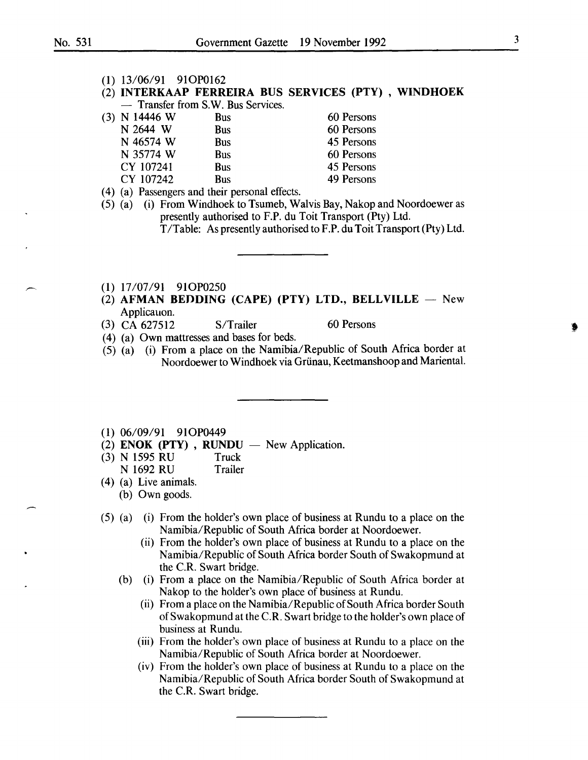(1) 13/06/91 910P0162

### (2) INTERKAAP FERREIRA BUS SERVICES (PTY) , WINDHOEK - Transfer from S.W. Bus Services.

| (3) N 14446 W | <b>Bus</b> | 60 Persons |
|---------------|------------|------------|
| N 2644 W      | Bus        | 60 Persons |
| N 46574 W     | <b>Bus</b> | 45 Persons |
| N 35774 W     | <b>Bus</b> | 60 Persons |
| CY 107241     | Bus        | 45 Persons |
| CY 107242     | <b>Bus</b> | 49 Persons |
|               |            |            |

- ( 4) (a) Passengers and their personal effects.
- (5) (a) (i) From Windhoek to Tsumeb, Walvis Bay, Nakop and Noordoewer as presently authorised to F.P. du Toit Transport (Pty) Ltd. T/Table: As presently authorised to F.P. du Toit Transport (Pty) Ltd.
- 
- (1) 17/07/91 910P0250
- (2) AFMAN BEDDING (CAPE) (PTY) LTD., BELLVILLE  $-$  New Applicauon.
- (3) CA  $627512$  S/Trailer 60 Persons
- ( 4) (a) Own mattresses and bases for beds.
- (5) (a) (i) From a place on the Namibia/Republic of South Africa border at Noordoewer to Windhoek via Grünau, Keetmanshoop and Mariental.
- (1) 06/09/91 910P0449
- (2) ENOK (PTY), RUNDU  $-$  New Application.
- (3) N 1595 RU Truck<br>
N 1692 RU Trailer
	- N 1692 RU
- (4) (a) Live animals.
	- (b) Own goods.
- (5) (a) (i) From the holder's own place of business at Rundu to a place on the Namibia/Republic of South Africa border at Noordoewer.
	- (ii) From the holder's own place of business at Rundu to a place on the Namibia/Republic of South Africa border South of Swakopmund at the C.R. Swart bridge.
	- (b) (i) From a place on the Namibia/Republic of South Africa border at Nakop to the holder's own place of business at Rundu.
		- (ii) From a place on the Namibia/Republic of South Africa border South ofSwakopmund at the C.R. Swart bridge to the holder's own place of business at Rundu.
		- (iii) From the holder's own place of business at Rundu to a place on the Namibia/Republic of South Africa border at Noordoewer.
		- (iv) From the holder's own place of business at Rundu to a place on the Namibia/ Republic of South Africa border South of Swakopmund at the C.R. Swart bridge.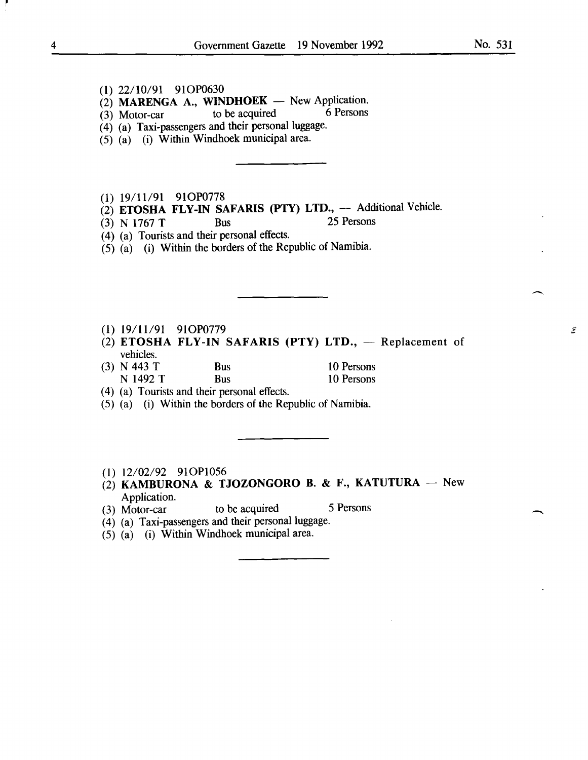- (2) MARENGA A., WINDHOEK New Application.<br>
(3) Motor-car to be acquired 6 Persons
- (3) Motor-car to be acquired 6 Persons
- (4) (a) Taxi-passengers and their personal luggage.
- $(5)$   $(a)$  (i) Within Windhoek municipal area.
- (1) 19/11/91 910P0778
- $(2)$  **ETOSHA FLY-IN SAFARIS (PTY) LTD.,** -- Additional Vehicle.<br>(3) N 1767 T Bus 25 Persons
- (3) N 1767 T Bus
- (4) (a) Tourists and their personal effects.
- (5) (a) (i) Within the borders of the Republic of Namibia.
- (1) 19/11/91 91OP0779
- (2) ETOSHA FLY-IN SAFARIS (PTY) LTD.,  $-$  Replacement of vehicles.
- (3) N 443 T<br>
N 1492 T<br>
Bus 10 Persons<br>
10 Persons
	- Bus 10 Persons
- ( 4) (a) Tourists and their personal effects.
- (5) (a) (i) Within the borders of the Republic of Namibia.
- (1) 12/02/92 910P1056
- $(2)$  KAMBURONA & TJOZONGORO B. & F., KATUTURA New Application.
- (3) Motor-car to be acquired 5 Persons
	-
- (4) (a) Taxi-passengers and their personal luggage.
- $(5)$   $(a)$   $(i)$  Within Windhoek municipal area.

爹

 $\overline{\phantom{a}}$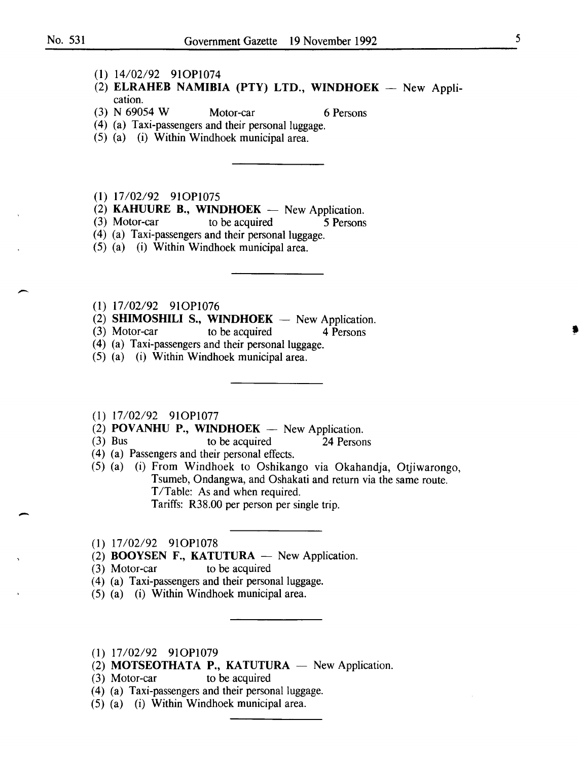-

-

- (1) 14/02/92 910P1074
- (2) ELRAHEB NAMIBIA (PTY) LTD., WINDHOEK  $-$  New Application.
- (3) N 69054 W Motor-car 6 Persons

- (4) (a) Taxi-passengers and their personal luggage.
- (5) (a) (i) Within Windhoek municipal area.
- (1) 17/02/92 910P1075
- (2) **KAHUURE B., WINDHOEK** New Application.<br>(3) Motor-car to be acquired 5 Persons
- to be acquired 5 Persons
- (4) (a) Taxi-passengers and their personal luggage.
- (5) (a) (i) Within Windhoek municipal area.
- (1) 17/02/92 910P1076
- (2) **SHIMOSHILI S., WINDHOEK**  $-$  New Application.<br>(3) Motor-car to be acquired 4 Persons
- to be acquired 4 Persons
- (4) (a) Taxi-passengers and their personal luggage.
- (5) (a) (i) Within Windhoek municipal area.
- (1) 17/02/92 910P1077
- (2) POVANHU P., WINDHOEK  $-$  New Application.
- (3) Bus to be acquired 24 Persons
- ( 4) (a) Passengers and their personal effects.
- (5) (a) (i) From Windhoek to Oshikango via Okahandja, Otjiwarongo, Tsumeb, Ondangwa, and Oshakati and return via the same route. T/Table: As and when required. Tariffs: R38.00 per person per single trip.
- (1) 17/02/92 910P1078
- (2) **BOOYSEN F., KATUTURA**  $-$  New Application.
- (3) Motor-car to be acquired
- ( 4) (a) Taxi-passengers and their personal luggage.
- (5) (a) (i) Within Windhoek municipal area.
- (1) 17/02/92 910P1079
- (2) MOTSEOTHATA P., KATUTURA  $-$  New Application.
- (3) Motor-car to be acquired
- (4) (a) Taxi-passengers and their personal luggage.
- (5) (a) (i) Within Windhoek municipal area.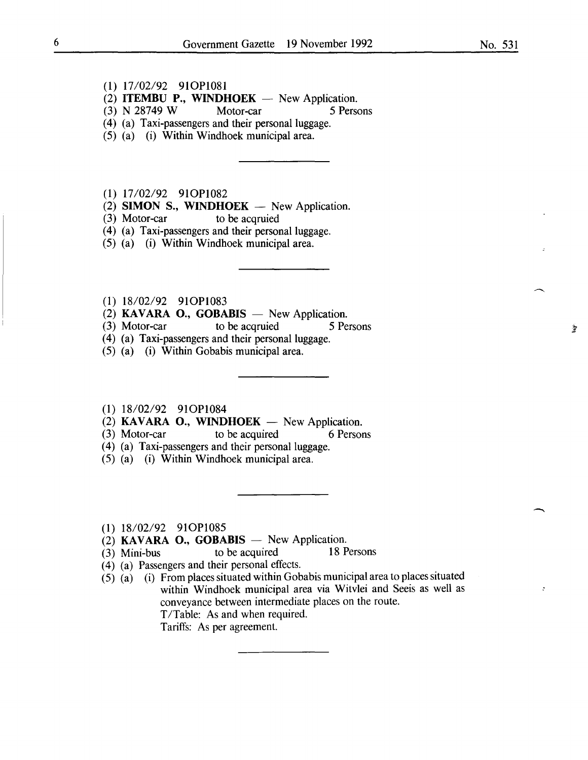- (1) 17/02/92 910Pl081
- (2) **ITEMBU P., WINDHOEK** New Application.<br>(3) N 28749 W Motor-car 5 Persons
- $(3)$  N 28749 W
- (4) (a) Taxi-passengers and their personal luggage.
- (5) (a) (i) Within Windhoek municipal area.

(1) 17/02/92 910P1082

- (2) SIMON S., WINDHOEK  $-$  New Application.
- (3) Motor-car to be acqruied
- (4) (a) Taxi-passengers and their personal luggage.
- (5) (a) (i) Within Windhoek municipal area.
- (1) 18/02/92 910P1083
- (2) KAVARA O., GOBABIS  $-$  New Application.<br>(3) Motor-car to be acquied 5 Pe
- (3) Motor-car to be acquied 5 Persons
- (4) (a) Taxi-passengers and their personal luggage.
- (5) (a) (i) Within Gobabis municipal area.

## (1) 18/02/92 910Pl084

- (2) KAVARA O., WINDHOEK  $-$  New Application.
- (3) Motor-car to be acquired 6 Persons
- (4) (a) Taxi-passengers and their personal luggage.
- (5) (a) (i) Within Windhoek municipal area.
- (1) 18/02/92 910P1085
- (2) KAVARA O., GOBABIS  $-$  New Application.
- (3) Mini-bus to be acquired 18 Persons
- ( 4) (a) Passengers and their personal effects.
- $(5)$   $(a)$   $(i)$  From places situated within Gobabis municipal area to places situated within Windhoek municipal area via Witvlei and Seeis as well as conveyance between intermediate places on the route. T/Table: As and when required. Tariffs: As per agreement.

-

 $\mathcal{L}$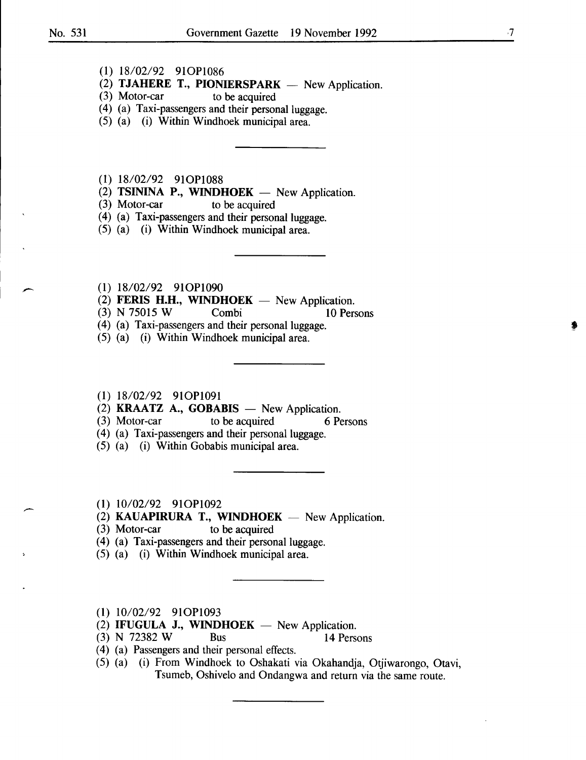- (1) 18/02/92 910Pl086
- (2) **TJAHERE T., PIONIERSPARK** New Application.<br>(3) Motor-car to be acquired
- to be acquired
- (4) (a) Taxi-passengers and their personal luggage.
- (5) (a) (i) Within Windhoek municipal area.
- (1) 18/02/92 910Pl088
- $(2)$  TSININA P., WINDHOEK New Application.
- (3) Motor-car to be acquired
- (4) (a) Taxi-passengers and their personal luggage.
- (5) (a) (i) Within Windhoek municipal area.
- (1) 18/02/92 910Pl090
- (2) FERIS H.H., WINDHOEK  $-$  New Application.<br>(3) N 75015 W Combi 10 Per
- (3) N 75015 W Combi 10 Persons
- (4) (a) Taxi-passengers and their personal luggage.
- (5) (a) (i) Within Windhoek municipal area.
- (1) 18/02/92 910Pl091
- (2) **KRAATZ A., GOBABIS**  $-$  New Application.
- (3) Motor-car to be acquired 6 Persons
- (4) (a) Taxi-passengers and their personal luggage.
- (5) (a) (i) Within Gobabis municipal area.
- (1) 10/02/92 910Pl092
- $(2)$  KAUAPIRURA T., WINDHOEK New Application.
- (3) Motor-car to be acquired
- (4) (a) Taxi-passengers and their personal luggage.
- (5) (a) (i) Within Windhoek municipal area.
- (1) 10/02/92 910P1093
- (2) IFUGULA J., WINDHOEK  $-$  New Application.
- (3) N 72382 W Bus 14 Persons
- ( 4) (a) Passengers and their personal effects.
- (5) (a) (i) From Windhoek to Oshakati via Okahandja, Otjiwarongo, Otavi, Tsumeb, Oshivelo and Ondangwa and return via the same route.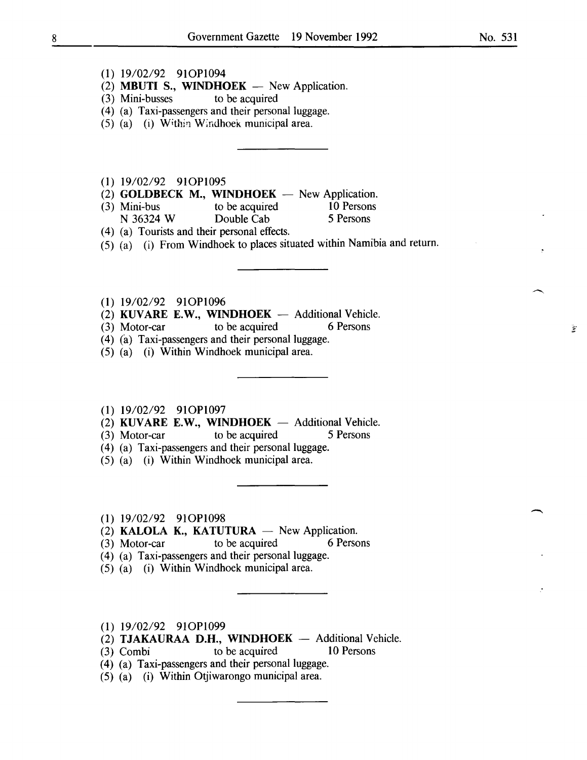- (1) 19/02/92 910P1094
- $(2)$  MBUTI S., WINDHOEK New Application.
- (3) Mini-busses to be acquired
- (4) (a) Taxi-passengers and their personal luggage.
- (5) (a) (i) Within Windhoek municipal area.
- (1) 19/02/92 910P1095
- (2) **GOLDBECK M., WINDHOEK**  $-$  New Application.<br>(3) Mini-bus to be acquired 10 Persons
- Mini-bus to be acquired 10 Person<br>
N 36324 W Double Cab 5 Persons Double Cab
- ( 4) (a) Tourists and their personal effects.
- (5) (a) (i) From Windhoek to places situated within Namibia and return.
- (1) 19/02/92 910P1096
- $(2)$  KUVARE E.W., WINDHOEK Additional Vehicle.
- (3) Motor-car to be acquired 6 Persons
- (4) (a) Taxi-passengers and their personal luggage.
- (5) (a) (i) Within Windhoek municipal area.
- (1) 19/02/92 910P1097
- (2) KUVARE E.W., WINDHOEK  $-$  Additional Vehicle.
- (3) Motor-car to be acquired 5 Persons
- ( 4) (a) Taxi-passengers and their personal luggage.
- (5) (a) (i) Within Windhoek municipal area.
- (1) 19/02/92 910P1098
- (2) KALOLA K., KATUTURA  $-$  New Application.
- (3) Motor-car to be acquired 6 Persons
- ( 4) (a) Taxi-passengers and their personal luggage.
- (5) (a) (i) Within Windhoek municipal area.
- (1) 19/02/92 910P1099
- $(2)$  TJAKAURAA D.H., WINDHOEK Additional Vehicle.
- (3) Combi to be acquired 10 Persons
- (4) (a) Taxi-passengers and their personal luggage.
- (5) (a) (i) Within Otjiwarongo municipal area.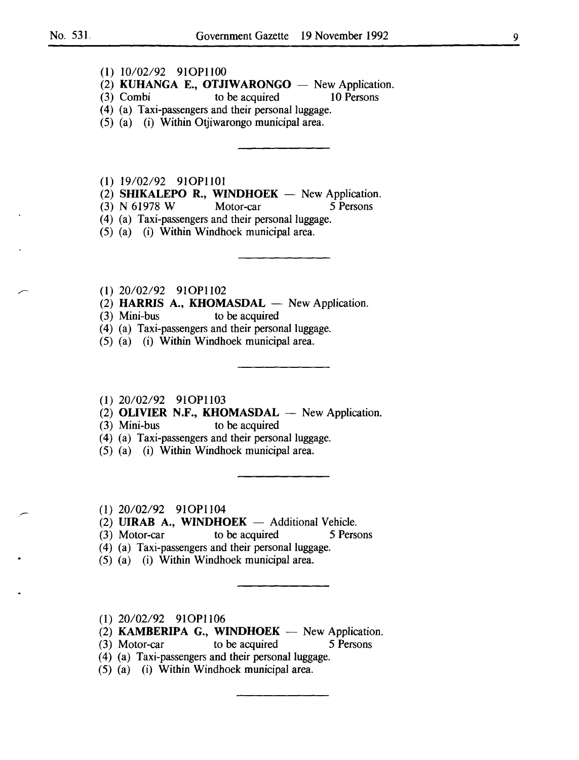- (1) 10/02/92 910P1100
- (2) **KUHANGA E., OTJIWARONGO** New Application.
- (3) Combi to be acquired 10 Persons
- (4) (a) Taxi-passengers and their personal luggage.
- (5) (a) (i) Within Otjiwarongo municipal area.

**(1)** 19/02/92 910P1101

- (2) **SHIKALEPO R., WINDHOEK**  $-$  New Application.
- (3) N 61978 W Motor-car 5 Persons
- (4) (a) Taxi-passengers and their personal luggage.
- (5) (a) (i) Within Windhoek municipal area.
- (1) 20/02/92 910P1102
- (2) **HARRIS A., KHOMASDAL**  $-$  New Application.<br>(3) Mini-bus to be acquired
- to be acquired
- (4) (a) Taxi-passengers and their personal luggage.
- (5) (a) (i) Within Windhoek municipal area.
- (1) 20/02/92 910P1103
- (2) **OLIVIER N.F., KHOMASDAL**  $-$  New Application.<br>(3) Mini-bus to be acquired
- to be acquired
- (4) (a) Taxi-passengers and their personal luggage.
- (5) (a) (i) Within Windhoek municipal area.
- (1) 20/02/92 910P1104
- (2) **UIRAB A., WINDHOEK** Additional Vehicle.
- (3) Motor-car to be acquired 5 Persons
- (4) (a) Taxi-passengers and their personal luggage.
- (5) (a) (i) Within Windhoek municipal area.
- (1) 20/02/92 910P1106
- $(2)$  **KAMBERIPA G., WINDHOEK** New Application.
- (3) Motor-car to be acquired 5 Persons
- (4) (a) Taxi-passengers and their personal luggage.
- (5) (a) (i) Within Windhoek municipal area.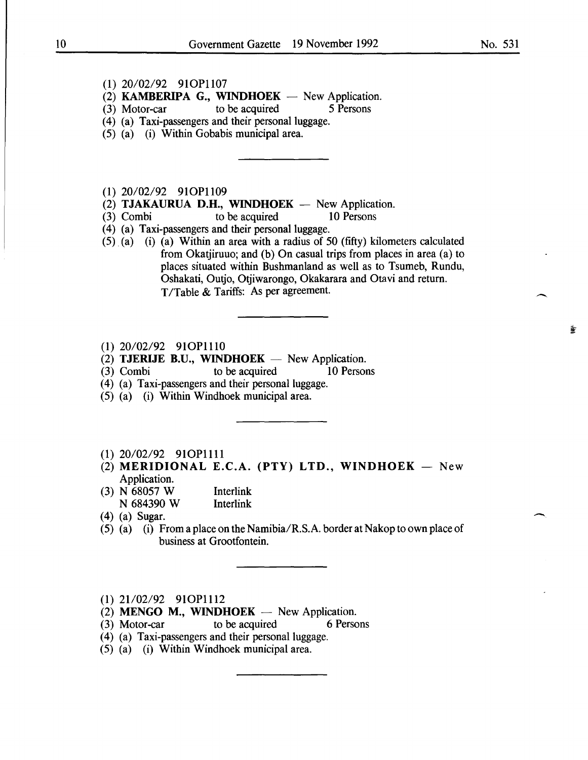#### (1) 20/02/92 910Pll07

(2) KAMBERIPA G., WINDHOEK  $-$  New Application.

- (3) Motor-car to be acquired 5 Persons
- (4) (a) Taxi-passengers and their personal luggage.
- (5) (a) (i) Within Gobabis municipal area.

#### (1) 20/02/92 910Pll09

- (2) TJAKAURUA D.H., WINDHOEK  $-$  New Application.
- (3) Combi to be acquired 10 Persons
- (4) (a) Taxi-passengers and their personal luggage.
- (5). (a) (i) (a) Within an area with a radius of 50 (fifty) kilometers calculated from Okatjiruuo; and (b) On casual trips from places in area (a) to places situated within Bushmanland as well as to Tsumeb, Rundu, Oshakati, Outjo, Otjiwarongo, Okakarara and Otavi and return. T/Table & Tariffs: As per agreement.
- (1) 20/02/92 910P1110
- (2) **TJERIJE B.U., WINDHOEK**  $-$  New Application.<br>(3) Combi to be acquired 10 Persons
- $(3)$  Combi to be acquired
- (4) (a) Taxi-passengers and their personal luggage.
- (5) (a) (i) Within Windhoek municipal area.

#### (1) 20/02/92 910Pllll

- (2) MERIDIONAL E.C.A. (PTY) LTD., WINDHOEK  $-$  New Application.
- (3) N 68057 W Interlink N 684390 W Interlink
- (4) (a) Sugar.
- (5) (a) (i) From a place on the Namibia/R.S.A. border at Nakop to own place of business at Grootfontein.
- (1) 21/02/92 91OP1112
- (2) MENGO M., WINDHOEK  $-$  New Application.
- (3) Motor-car to be acquired 6 Persons
- (4) (a) Taxi-passengers and their personal luggage.
- (5) (a) (i) Within Windhoek municipal area.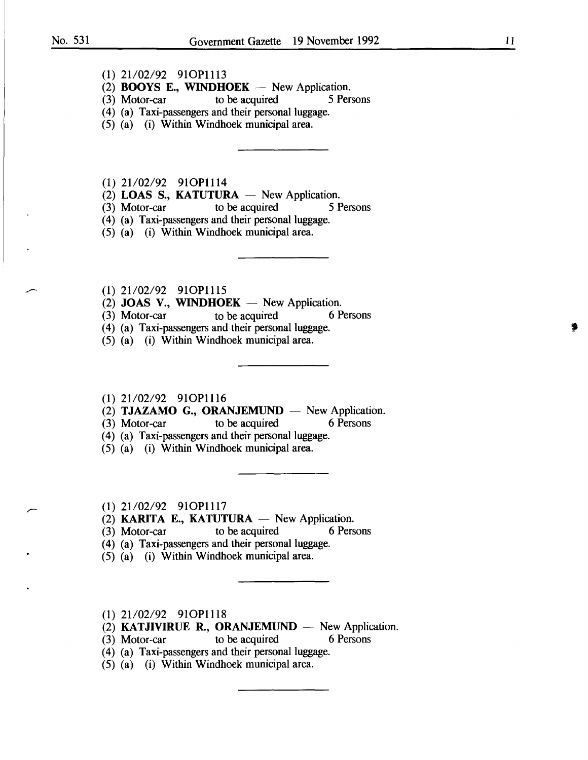- (1) 21/02/92 91OP1113
- (2) **BOOYS E., WINDHOEK** New Application.<br>(3) Motor-car to be acquired 5 Persons
- to be acquired
- (4) (a) Taxi-passengers and their personal luggage.
- (5) (a) (i) Within Windhoek municipal area.
- (1) 21/02/92 91OP1114
- (2) **LOAS S., KATUTURA**  $-$  New Application.<br>(3) Motor-car to be acquired 5 F
- (3) Motor-car to be acquired 5 Persons
- (4) (a) Taxi-passengers and their personal luggage.
- (5) (a) (i) Within Windhoek municipal area.
- (1) 21/02/92 91OP1115
- (2) **JOAS V., WINDHOEK** New Application.<br>(3) Motor-car to be acquired 6 Persons
- $(3)$  Motor-car to be acquired
- (4) (a) Taxi-passengers and their personal luggage.
- (5) (a) (i) Within Windhoek municipal area.
- (1) 21/02/92 91OP1116
- (2) **TJAZAMO G., ORANJEMUND** New Application.
- (3) Motor-car to be acquired 6 Persons
- (4) (a) Taxi-passengers and their personal luggage.
- (5) (a) (i) Within Windhoek municipal area.
- (1) 21/02/92 91OP1117
- (2) **KARITA E., KATUTURA** New Application.<br>(3) Motor-car to be acquired 6 Persons
- $(3)$  Motor-car
- (4) (a) Taxi-passengers and their personal luggage.
- (5) (a) (i) Within Windhoek municipal area.
- (1) 21/02/92 91OP1118
- (2) **KATJIVIRUE R., ORANJEMUND**  $-$  New Application.<br>(3) Motor-car to be acquired 6 Persons
- $(3)$  Motor-car to be acquired
- (4) (a) Taxi-passengers and their personal luggage.
- (5) (a) (i) Within Windhoek municipal area.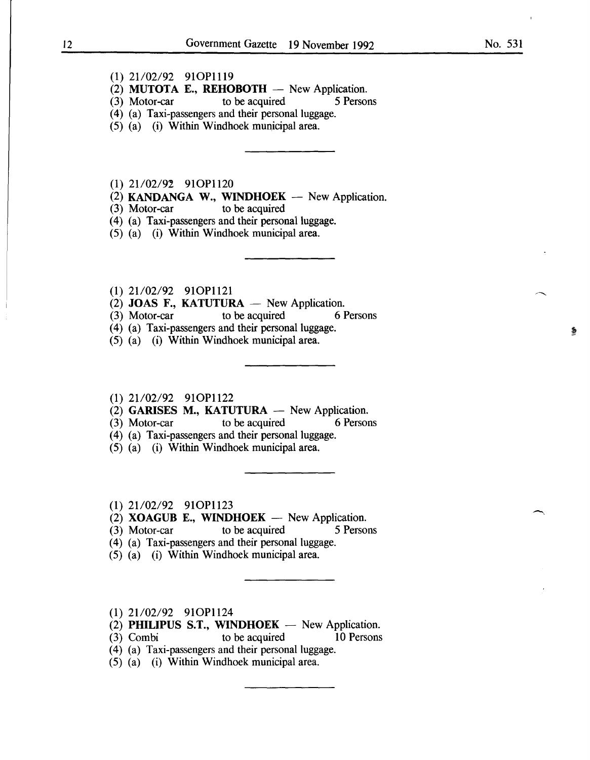- (1) 21/02/92 91OP1119
- (2) **MUTOTA E., REHOBOTH**  $-$  New Application.<br>(3) Motor-car to be acquired 5 Persons
- to be acquired
- (4) (a) Taxi-passengers and their personal luggage.
- (5) (a) (i) Within Windhoek municipal area.
- $(1)$  21/02/92 91OP1120
- (2) **KANDANGA W., WINDHOEK** New Application.<br>(3) Motor-car to be acquired
- $(3)$  Motor-car
- (4) (a) Taxi-passengers and their personal luggage.
- (5) (a) (i) Within Windhoek municipal area.
- (1) 21/02/92 910P1121
- (2) JOAS F., KATUTURA  $-$  New Application.
- (3) Motor-car to be acquired 6 Persons
- (4) (a) Taxi-passengers and their personal luggage.
- (5) (a) (i) Within Windhoek municipal area.
- (1) 21/02/92 91OP1122
- (2) GARISES M., KATUTURA  $-$  New Application.<br>(3) Motor-car to be acquired 6 Persons
- $(3)$  Motor-car to be acquired
- (4) (a) Taxi-passengers and their personal luggage.
- (5) (a) (i) Within Windhoek municipal area.
- $(1)$  21/02/92 91OP1123

 $(3)$  Motor-car

- (2) **XOAGUB E., WINDHOEK** New Application.<br>(3) Motor-car to be acquired 5 Persons
	-
- (4) (a) Taxi-passengers and their personal luggage.
- (5) (a) (i) Within Windhoek municipal area.
- (1) 21/02/92 91OP1124
- (2) PHILIPUS S.T., WINDHOEK  $-$  New Application.
- (3) Combi to be acquired 10 Persons
- (4) (a) Taxi-passengers and their personal luggage.
- (5) (a) (i) Within Windhoek municipal area.

 $\overline{\phantom{0}}$ 

黍